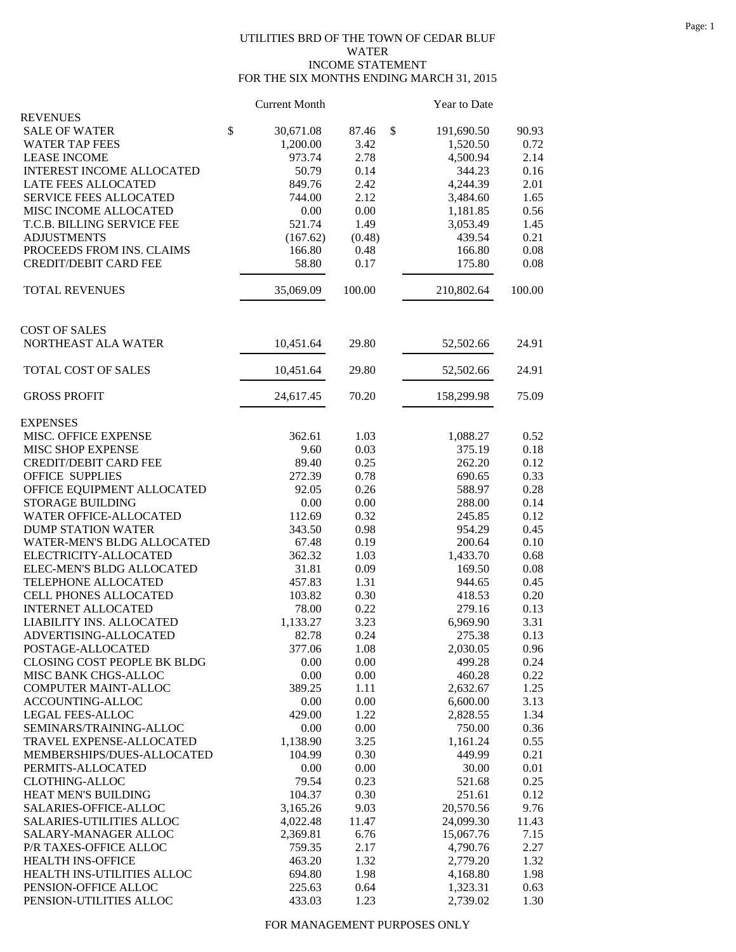## UTILITIES BRD OF THE TOWN OF CEDAR BLUF WATER INCOME STATEMENT FOR THE SIX MONTHS ENDING MARCH 31, 2015

|                                                     | <b>Current Month</b> |              | Year to Date       |              |
|-----------------------------------------------------|----------------------|--------------|--------------------|--------------|
| <b>REVENUES</b>                                     |                      |              |                    |              |
| <b>SALE OF WATER</b>                                | \$<br>30,671.08      | 87.46        | \$<br>191,690.50   | 90.93        |
| <b>WATER TAP FEES</b>                               | 1,200.00             | 3.42         | 1,520.50           | 0.72         |
| <b>LEASE INCOME</b>                                 | 973.74               | 2.78         | 4,500.94           | 2.14         |
| <b>INTEREST INCOME ALLOCATED</b>                    | 50.79                | 0.14         | 344.23             | 0.16         |
| LATE FEES ALLOCATED                                 | 849.76               | 2.42         | 4,244.39           | 2.01         |
| SERVICE FEES ALLOCATED                              | 744.00               | 2.12         | 3,484.60           | 1.65         |
| MISC INCOME ALLOCATED                               | 0.00                 | 0.00         | 1,181.85           | 0.56         |
| T.C.B. BILLING SERVICE FEE                          | 521.74               | 1.49         | 3,053.49           | 1.45         |
| <b>ADJUSTMENTS</b>                                  | (167.62)             | (0.48)       | 439.54             | 0.21         |
| PROCEEDS FROM INS. CLAIMS                           | 166.80               | 0.48         | 166.80             | 0.08         |
| <b>CREDIT/DEBIT CARD FEE</b>                        | 58.80                | 0.17         | 175.80             | 0.08         |
| <b>TOTAL REVENUES</b>                               | 35,069.09            | 100.00       | 210,802.64         | 100.00       |
|                                                     |                      |              |                    |              |
| <b>COST OF SALES</b>                                |                      |              |                    |              |
| NORTHEAST ALA WATER                                 | 10,451.64            | 29.80        | 52,502.66          | 24.91        |
| TOTAL COST OF SALES                                 | 10,451.64            | 29.80        | 52,502.66          | 24.91        |
| <b>GROSS PROFIT</b>                                 | 24,617.45            | 70.20        | 158,299.98         | 75.09        |
| <b>EXPENSES</b>                                     |                      |              |                    |              |
| MISC. OFFICE EXPENSE                                | 362.61               | 1.03         | 1,088.27           | 0.52         |
| <b>MISC SHOP EXPENSE</b>                            | 9.60                 | 0.03         | 375.19             | 0.18         |
| <b>CREDIT/DEBIT CARD FEE</b>                        | 89.40                | 0.25         | 262.20             | 0.12         |
| <b>OFFICE SUPPLIES</b>                              | 272.39               | 0.78         | 690.65             | 0.33         |
| OFFICE EQUIPMENT ALLOCATED                          | 92.05                | 0.26         | 588.97             | 0.28         |
| <b>STORAGE BUILDING</b>                             | 0.00                 | 0.00         | 288.00             | 0.14         |
| WATER OFFICE-ALLOCATED                              | 112.69               | 0.32         | 245.85             | 0.12         |
| <b>DUMP STATION WATER</b>                           | 343.50               | 0.98         | 954.29             | 0.45         |
| WATER-MEN'S BLDG ALLOCATED                          | 67.48                | 0.19         | 200.64             | 0.10         |
| ELECTRICITY-ALLOCATED                               | 362.32               | 1.03         | 1,433.70           | 0.68         |
| ELEC-MEN'S BLDG ALLOCATED                           | 31.81                | 0.09         | 169.50             | 0.08         |
| TELEPHONE ALLOCATED                                 | 457.83               | 1.31         | 944.65             | 0.45         |
| CELL PHONES ALLOCATED                               | 103.82               | 0.30         | 418.53             | 0.20         |
| <b>INTERNET ALLOCATED</b>                           | 78.00                | 0.22         | 279.16             | 0.13         |
| LIABILITY INS. ALLOCATED                            | 1,133.27             | 3.23         | 6,969.90           | 3.31         |
| ADVERTISING-ALLOCATED                               | 82.78                | 0.24         | 275.38             | 0.13         |
| POSTAGE-ALLOCATED                                   | 377.06               | 1.08         | 2,030.05<br>499.28 | 0.96         |
| CLOSING COST PEOPLE BK BLDG<br>MISC BANK CHGS-ALLOC | 0.00                 | 0.00         |                    | 0.24<br>0.22 |
| <b>COMPUTER MAINT-ALLOC</b>                         | 0.00<br>389.25       | 0.00<br>1.11 | 460.28<br>2,632.67 | 1.25         |
| ACCOUNTING-ALLOC                                    | 0.00                 | 0.00         | 6,600.00           | 3.13         |
| <b>LEGAL FEES-ALLOC</b>                             | 429.00               | 1.22         | 2,828.55           | 1.34         |
| SEMINARS/TRAINING-ALLOC                             | 0.00                 | 0.00         | 750.00             | 0.36         |
| TRAVEL EXPENSE-ALLOCATED                            | 1,138.90             | 3.25         | 1,161.24           | 0.55         |
| MEMBERSHIPS/DUES-ALLOCATED                          | 104.99               | 0.30         | 449.99             | 0.21         |
| PERMITS-ALLOCATED                                   | 0.00                 | 0.00         | 30.00              | 0.01         |
| <b>CLOTHING-ALLOC</b>                               | 79.54                | 0.23         | 521.68             | 0.25         |
| HEAT MEN'S BUILDING                                 | 104.37               | 0.30         | 251.61             | 0.12         |
| SALARIES-OFFICE-ALLOC                               | 3,165.26             | 9.03         | 20,570.56          | 9.76         |
| SALARIES-UTILITIES ALLOC                            | 4,022.48             | 11.47        | 24,099.30          | 11.43        |
| SALARY-MANAGER ALLOC                                | 2,369.81             | 6.76         | 15,067.76          | 7.15         |
| P/R TAXES-OFFICE ALLOC                              | 759.35               | 2.17         | 4,790.76           | 2.27         |
| HEALTH INS-OFFICE                                   | 463.20               | 1.32         | 2,779.20           | 1.32         |
| HEALTH INS-UTILITIES ALLOC                          | 694.80               | 1.98         | 4,168.80           | 1.98         |
| PENSION-OFFICE ALLOC                                | 225.63               | 0.64         | 1,323.31           | 0.63         |
| PENSION-UTILITIES ALLOC                             | 433.03               | 1.23         | 2,739.02           | 1.30         |